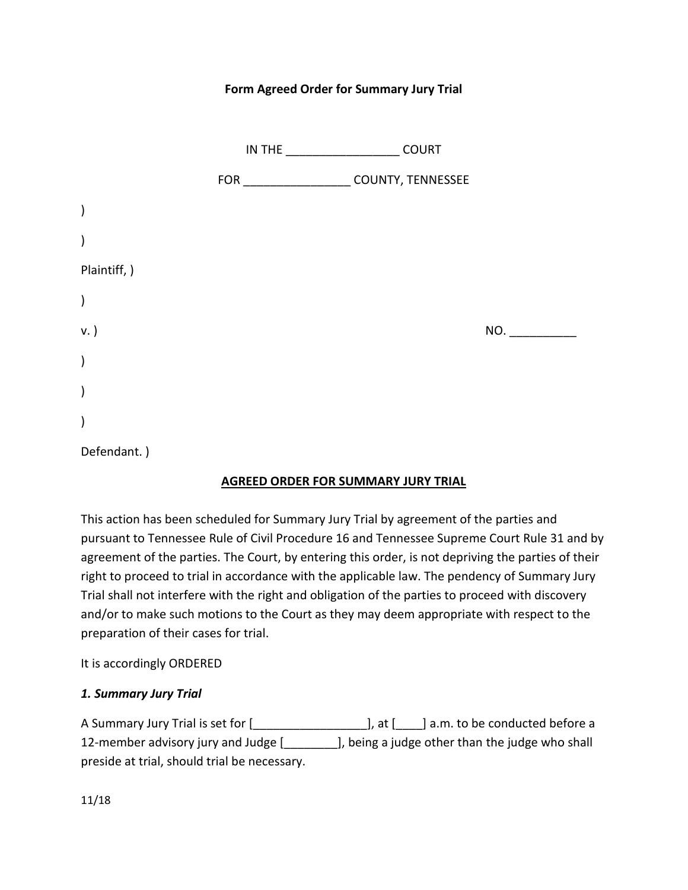### **Form Agreed Order for Summary Jury Trial**

|               | <b>COURT</b>      |     |
|---------------|-------------------|-----|
|               | COUNTY, TENNESSEE |     |
| $\mathcal{E}$ |                   |     |
| $\mathcal{C}$ |                   |     |
| Plaintiff, )  |                   |     |
| $\lambda$     |                   |     |
| v. )          |                   | NO. |
| $\lambda$     |                   |     |
| $\mathcal{E}$ |                   |     |
| $\mathcal{E}$ |                   |     |
| Defendant.)   |                   |     |

#### **AGREED ORDER FOR SUMMARY JURY TRIAL**

This action has been scheduled for Summary Jury Trial by agreement of the parties and pursuant to Tennessee Rule of Civil Procedure 16 and Tennessee Supreme Court Rule 31 and by agreement of the parties. The Court, by entering this order, is not depriving the parties of their right to proceed to trial in accordance with the applicable law. The pendency of Summary Jury Trial shall not interfere with the right and obligation of the parties to proceed with discovery and/or to make such motions to the Court as they may deem appropriate with respect to the preparation of their cases for trial.

#### It is accordingly ORDERED

#### *1. Summary Jury Trial*

A Summary Jury Trial is set for [\_\_\_\_\_\_\_\_\_\_\_\_\_\_\_\_\_], at [\_\_\_\_] a.m. to be conducted before a 12-member advisory jury and Judge [\_\_\_\_\_\_\_\_], being a judge other than the judge who shall preside at trial, should trial be necessary.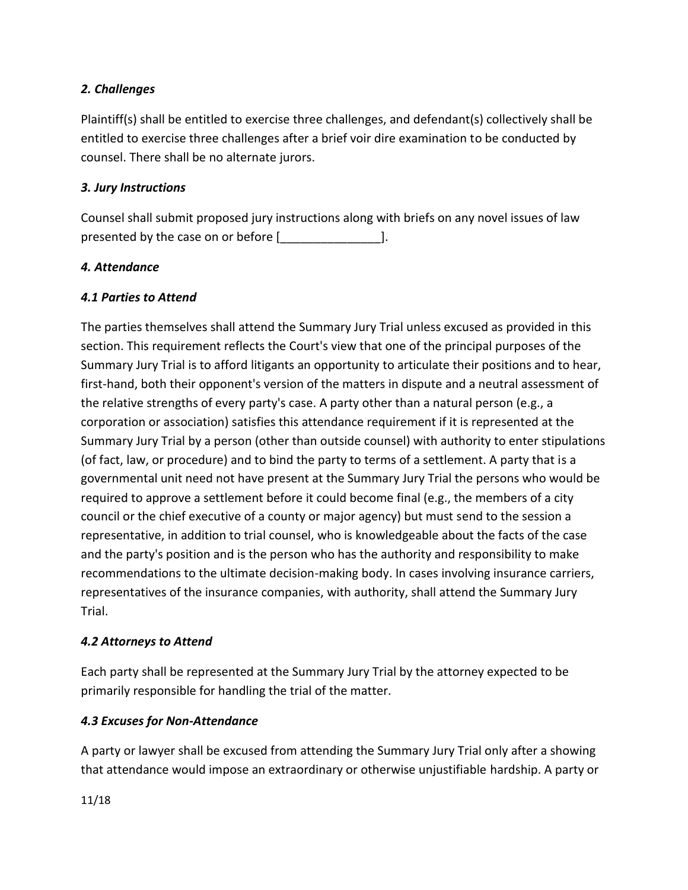# *2. Challenges*

Plaintiff(s) shall be entitled to exercise three challenges, and defendant(s) collectively shall be entitled to exercise three challenges after a brief voir dire examination to be conducted by counsel. There shall be no alternate jurors.

#### *3. Jury Instructions*

Counsel shall submit proposed jury instructions along with briefs on any novel issues of law presented by the case on or before [2001].

### *4. Attendance*

# *4.1 Parties to Attend*

The parties themselves shall attend the Summary Jury Trial unless excused as provided in this section. This requirement reflects the Court's view that one of the principal purposes of the Summary Jury Trial is to afford litigants an opportunity to articulate their positions and to hear, first-hand, both their opponent's version of the matters in dispute and a neutral assessment of the relative strengths of every party's case. A party other than a natural person (e.g., a corporation or association) satisfies this attendance requirement if it is represented at the Summary Jury Trial by a person (other than outside counsel) with authority to enter stipulations (of fact, law, or procedure) and to bind the party to terms of a settlement. A party that is a governmental unit need not have present at the Summary Jury Trial the persons who would be required to approve a settlement before it could become final (e.g., the members of a city council or the chief executive of a county or major agency) but must send to the session a representative, in addition to trial counsel, who is knowledgeable about the facts of the case and the party's position and is the person who has the authority and responsibility to make recommendations to the ultimate decision-making body. In cases involving insurance carriers, representatives of the insurance companies, with authority, shall attend the Summary Jury Trial.

#### *4.2 Attorneys to Attend*

Each party shall be represented at the Summary Jury Trial by the attorney expected to be primarily responsible for handling the trial of the matter.

# *4.3 Excuses for Non-Attendance*

A party or lawyer shall be excused from attending the Summary Jury Trial only after a showing that attendance would impose an extraordinary or otherwise unjustifiable hardship. A party or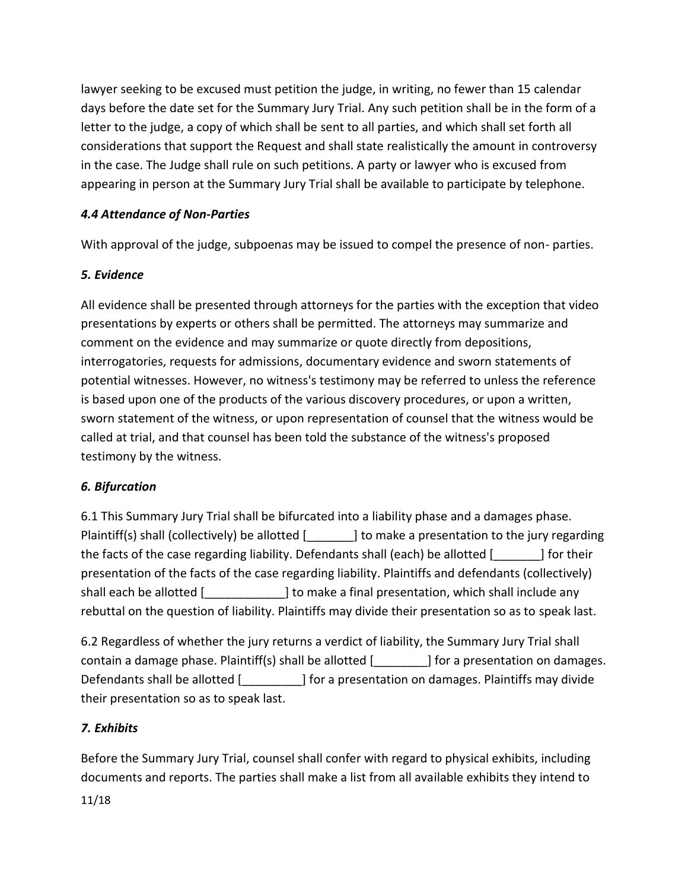lawyer seeking to be excused must petition the judge, in writing, no fewer than 15 calendar days before the date set for the Summary Jury Trial. Any such petition shall be in the form of a letter to the judge, a copy of which shall be sent to all parties, and which shall set forth all considerations that support the Request and shall state realistically the amount in controversy in the case. The Judge shall rule on such petitions. A party or lawyer who is excused from appearing in person at the Summary Jury Trial shall be available to participate by telephone.

# *4.4 Attendance of Non-Parties*

With approval of the judge, subpoenas may be issued to compel the presence of non- parties.

#### *5. Evidence*

All evidence shall be presented through attorneys for the parties with the exception that video presentations by experts or others shall be permitted. The attorneys may summarize and comment on the evidence and may summarize or quote directly from depositions, interrogatories, requests for admissions, documentary evidence and sworn statements of potential witnesses. However, no witness's testimony may be referred to unless the reference is based upon one of the products of the various discovery procedures, or upon a written, sworn statement of the witness, or upon representation of counsel that the witness would be called at trial, and that counsel has been told the substance of the witness's proposed testimony by the witness.

#### *6. Bifurcation*

6.1 This Summary Jury Trial shall be bifurcated into a liability phase and a damages phase. Plaintiff(s) shall (collectively) be allotted [\_\_\_\_\_\_] to make a presentation to the jury regarding the facts of the case regarding liability. Defendants shall (each) be allotted [\_\_\_\_\_\_\_] for their presentation of the facts of the case regarding liability. Plaintiffs and defendants (collectively) shall each be allotted [1,100] is make a final presentation, which shall include any rebuttal on the question of liability. Plaintiffs may divide their presentation so as to speak last.

6.2 Regardless of whether the jury returns a verdict of liability, the Summary Jury Trial shall contain a damage phase. Plaintiff(s) shall be allotted [\_\_\_\_\_\_\_\_] for a presentation on damages. Defendants shall be allotted [1,100] for a presentation on damages. Plaintiffs may divide their presentation so as to speak last.

# *7. Exhibits*

11/18 Before the Summary Jury Trial, counsel shall confer with regard to physical exhibits, including documents and reports. The parties shall make a list from all available exhibits they intend to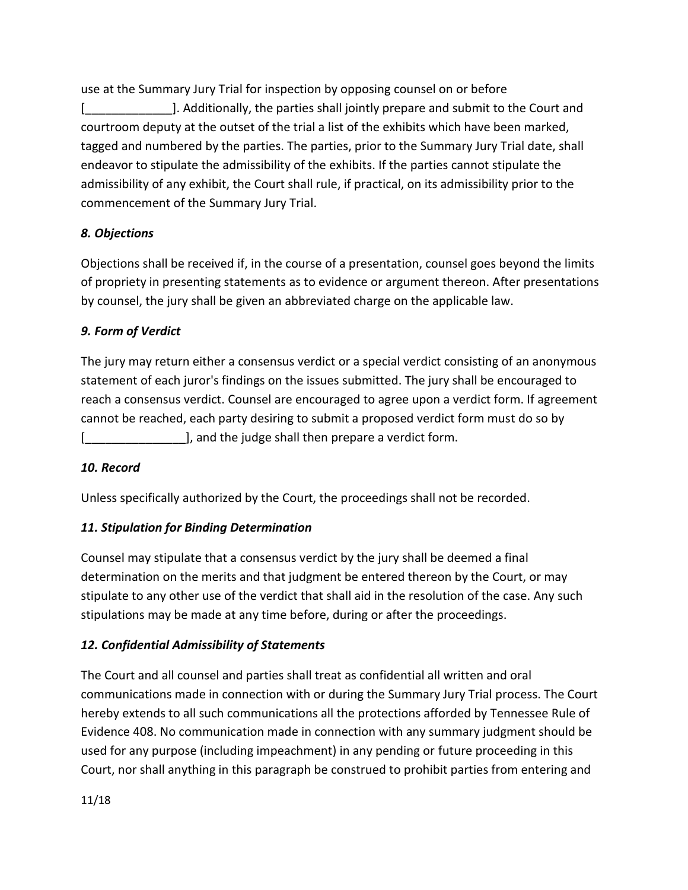use at the Summary Jury Trial for inspection by opposing counsel on or before [\_\_\_\_\_\_\_\_\_\_\_\_\_]. Additionally, the parties shall jointly prepare and submit to the Court and courtroom deputy at the outset of the trial a list of the exhibits which have been marked, tagged and numbered by the parties. The parties, prior to the Summary Jury Trial date, shall endeavor to stipulate the admissibility of the exhibits. If the parties cannot stipulate the admissibility of any exhibit, the Court shall rule, if practical, on its admissibility prior to the commencement of the Summary Jury Trial.

### *8. Objections*

Objections shall be received if, in the course of a presentation, counsel goes beyond the limits of propriety in presenting statements as to evidence or argument thereon. After presentations by counsel, the jury shall be given an abbreviated charge on the applicable law.

### *9. Form of Verdict*

The jury may return either a consensus verdict or a special verdict consisting of an anonymous statement of each juror's findings on the issues submitted. The jury shall be encouraged to reach a consensus verdict. Counsel are encouraged to agree upon a verdict form. If agreement cannot be reached, each party desiring to submit a proposed verdict form must do so by [end and the judge shall then prepare a verdict form.

#### *10. Record*

Unless specifically authorized by the Court, the proceedings shall not be recorded.

#### *11. Stipulation for Binding Determination*

Counsel may stipulate that a consensus verdict by the jury shall be deemed a final determination on the merits and that judgment be entered thereon by the Court, or may stipulate to any other use of the verdict that shall aid in the resolution of the case. Any such stipulations may be made at any time before, during or after the proceedings.

# *12. Confidential Admissibility of Statements*

The Court and all counsel and parties shall treat as confidential all written and oral communications made in connection with or during the Summary Jury Trial process. The Court hereby extends to all such communications all the protections afforded by Tennessee Rule of Evidence 408. No communication made in connection with any summary judgment should be used for any purpose (including impeachment) in any pending or future proceeding in this Court, nor shall anything in this paragraph be construed to prohibit parties from entering and